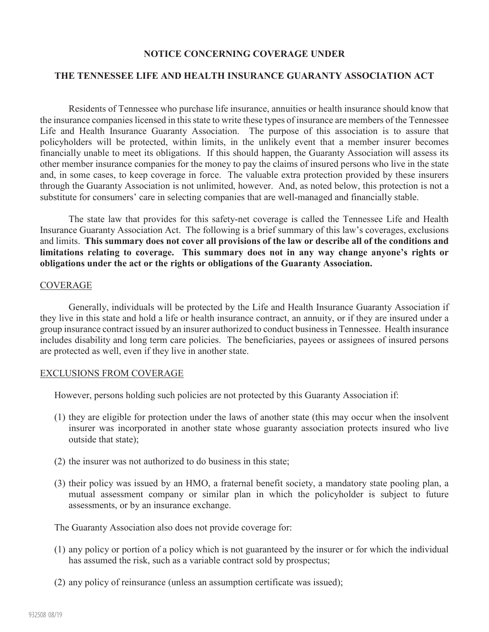# **NOTICE CONCERNING COVERAGE UNDER**

# **THE TENNESSEE LIFE AND HEALTH INSURANCE GUARANTY ASSOCIATION ACT**

Residents of Tennessee who purchase life insurance, annuities or health insurance should know that the insurance companies licensed in this state to write these types of insurance are members of the Tennessee Life and Health Insurance Guaranty Association. The purpose of this association is to assure that policyholders will be protected, within limits, in the unlikely event that a member insurer becomes financially unable to meet its obligations. If this should happen, the Guaranty Association will assess its other member insurance companies for the money to pay the claims of insured persons who live in the state and, in some cases, to keep coverage in force. The valuable extra protection provided by these insurers through the Guaranty Association is not unlimited, however. And, as noted below, this protection is not a substitute for consumers' care in selecting companies that are well-managed and financially stable.

The state law that provides for this safety-net coverage is called the Tennessee Life and Health Insurance Guaranty Association Act. The following is a brief summary of this law's coverages, exclusions and limits. **This summary does not cover all provisions of the law or describe all of the conditions and limitations relating to coverage. This summary does not in any way change anyone's rights or obligations under the act or the rights or obligations of the Guaranty Association.**

#### **COVERAGE**

Generally, individuals will be protected by the Life and Health Insurance Guaranty Association if they live in this state and hold a life or health insurance contract, an annuity, or if they are insured under a group insurance contract issued by an insurer authorized to conduct business in Tennessee. Health insurance includes disability and long term care policies. The beneficiaries, payees or assignees of insured persons are protected as well, even if they live in another state.

#### EXCLUSIONS FROM COVERAGE

However, persons holding such policies are not protected by this Guaranty Association if:

- (1) they are eligible for protection under the laws of another state (this may occur when the insolvent insurer was incorporated in another state whose guaranty association protects insured who live outside that state);
- (2) the insurer was not authorized to do business in this state;
- (3) their policy was issued by an HMO, a fraternal benefit society, a mandatory state pooling plan, a mutual assessment company or similar plan in which the policyholder is subject to future assessments, or by an insurance exchange.

The Guaranty Association also does not provide coverage for:

- (1) any policy or portion of a policy which is not guaranteed by the insurer or for which the individual has assumed the risk, such as a variable contract sold by prospectus;
- (2) any policy of reinsurance (unless an assumption certificate was issued);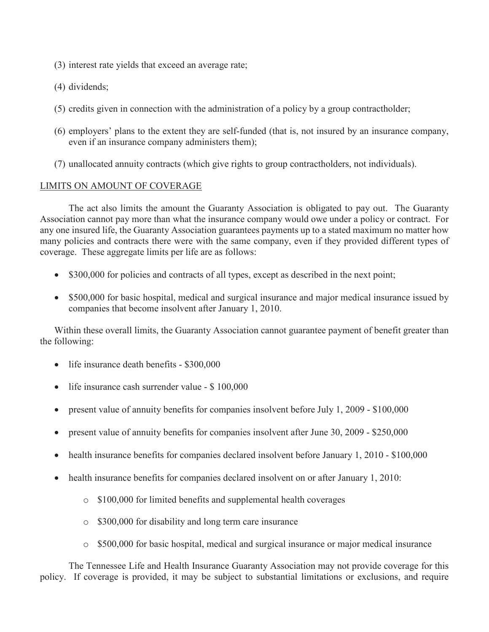- (3) interest rate yields that exceed an average rate;
- (4) dividends;
- (5) credits given in connection with the administration of a policy by a group contractholder;
- (6) employers' plans to the extent they are self-funded (that is, not insured by an insurance company, even if an insurance company administers them);
- (7) unallocated annuity contracts (which give rights to group contractholders, not individuals).

### LIMITS ON AMOUNT OF COVERAGE

The act also limits the amount the Guaranty Association is obligated to pay out. The Guaranty Association cannot pay more than what the insurance company would owe under a policy or contract. For any one insured life, the Guaranty Association guarantees payments up to a stated maximum no matter how many policies and contracts there were with the same company, even if they provided different types of coverage. These aggregate limits per life are as follows:

- \$300,000 for policies and contracts of all types, except as described in the next point;
- \$500,000 for basic hospital, medical and surgical insurance and major medical insurance issued by companies that become insolvent after January 1, 2010.

Within these overall limits, the Guaranty Association cannot guarantee payment of benefit greater than the following:

- life insurance death benefits \$300,000
- life insurance cash surrender value \$ 100,000
- present value of annuity benefits for companies insolvent before July 1, 2009 \$100,000
- present value of annuity benefits for companies insolvent after June 30, 2009 \$250,000
- health insurance benefits for companies declared insolvent before January 1, 2010 \$100,000
- health insurance benefits for companies declared insolvent on or after January 1, 2010:
	- o \$100,000 for limited benefits and supplemental health coverages
	- o \$300,000 for disability and long term care insurance
	- o \$500,000 for basic hospital, medical and surgical insurance or major medical insurance

The Tennessee Life and Health Insurance Guaranty Association may not provide coverage for this policy. If coverage is provided, it may be subject to substantial limitations or exclusions, and require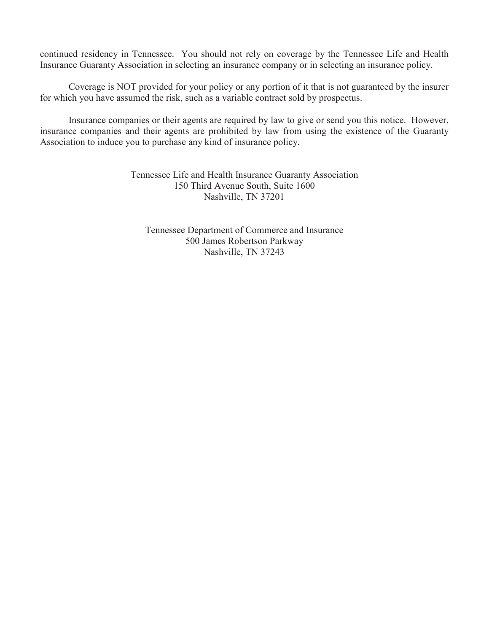continued residency in Tennessee. You should not rely on coverage by the Tennessee Life and Health Insurance Guaranty Association in selecting an insurance company or in selecting an insurance policy.

Coverage is NOT provided for your policy or any portion of it that is not guaranteed by the insurer for which you have assumed the risk, such as a variable contract sold by prospectus.

Insurance companies or their agents are required by law to give or send you this notice. However, insurance companies and their agents are prohibited by law from using the existence of the Guaranty Association to induce you to purchase any kind of insurance policy.

> Tennessee Life and Health Insurance Guaranty Association 150 Third Avenue South, Suite 1600 Nashville, TN 37201

Tennessee Department of Commerce and Insurance 500 James Robertson Parkway Nashville, TN 37243